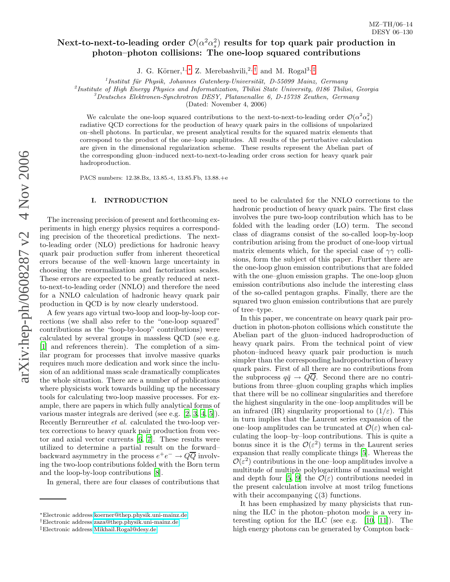# Next-to-next-to-leading order  $\mathcal{O}(\alpha^2 \alpha_s^2)$  results for top quark pair production in photon–photon collisions: The one-loop squared contributions

J. G. Körner,<sup>1,[∗](#page-0-0)</sup> Z. Merebashvili,<sup>2,[†](#page-0-1)</sup> and M. Rogal<sup>3,[‡](#page-0-2)</sup>

 $<sup>1</sup>$ Institut für Physik, Johannes Gutenberg-Universität, D-55099 Mainz, Germany</sup>

<sup>2</sup> Institute of High Energy Physics and Informatization, Tbilisi State University, 0186 Tbilisi, Georgia<br><sup>3</sup> Deutsches Elektronen-Synchrotron DESY, Platanenallee 6, D-15738 Zeuthen, Germany

(Dated: November 4, 2006)

We calculate the one-loop squared contributions to the next-to-next-to-leading order  $\mathcal{O}(\alpha^2 \alpha_s^2)$ radiative QCD corrections for the production of heavy quark pairs in the collisions of unpolarized on–shell photons. In particular, we present analytical results for the squared matrix elements that correspond to the product of the one–loop amplitudes. All results of the perturbative calculation are given in the dimensional regularization scheme. These results represent the Abelian part of the corresponding gluon–induced next-to-next-to-leading order cross section for heavy quark pair hadroproduction.

PACS numbers: 12.38.Bx, 13.85.-t, 13.85.Fb, 13.88.+e

## I. INTRODUCTION

The increasing precision of present and forthcoming experiments in high energy physics requires a corresponding precision of the theoretical predictions. The nextto-leading order (NLO) predictions for hadronic heavy quark pair production suffer from inherent theoretical errors because of the well–known large uncertainty in choosing the renormalization and factorization scales. These errors are expected to be greatly reduced at nextto-next-to-leading order (NNLO) and therefore the need for a NNLO calculation of hadronic heavy quark pair production in QCD is by now clearly understood.

A few years ago virtual two-loop and loop-by-loop corrections (we shall also refer to the "one-loop squared" contributions as the "loop-by-loop" contributions) were calculated by several groups in massless QCD (see e.g. [\[1\]](#page-9-0) and references therein). The completion of a similar program for processes that involve massive quarks requires much more dedication and work since the inclusion of an additional mass scale dramatically complicates the whole situation. There are a number of publications where physicists work towards building up the necessary tools for calculating two-loop massive processes. For example, there are papers in which fully analytical forms of various master integrals are derived (see e.g. [\[2](#page-9-1), [3](#page-9-2), [4,](#page-9-3) [5\]](#page-9-4)). Recently Bernreuther et al. calculated the two-loop vertex corrections to heavy quark pair production from vector and axial vector currents [\[6](#page-9-5), [7](#page-9-6)]. These results were utilized to determine a partial result on the forward– backward asymmetry in the process  $e^+e^- \to Q\overline{Q}$  involving the two-loop contributions folded with the Born term and the loop-by-loop contributions [\[8\]](#page-9-7).

In general, there are four classes of contributions that

need to be calculated for the NNLO corrections to the hadronic production of heavy quark pairs. The first class involves the pure two-loop contribution which has to be folded with the leading order (LO) term. The second class of diagrams consist of the so-called loop-by-loop contribution arising from the product of one-loop virtual matrix elements which, for the special case of  $\gamma\gamma$  collisions, form the subject of this paper. Further there are the one-loop gluon emission contributions that are folded with the one–gluon emission graphs. The one-loop gluon emission contributions also include the interesting class of the so-called pentagon graphs. Finally, there are the squared two gluon emission contributions that are purely of tree–type.

In this paper, we concentrate on heavy quark pair production in photon-photon collisions which constitute the Abelian part of the gluon–induced hadroproduction of heavy quark pairs. From the technical point of view photon–induced heavy quark pair production is much simpler than the corresponding hadroproduction of heavy quark pairs. First of all there are no contributions from the subprocess  $q\bar{q} \to QQ$ . Second there are no contributions from three–gluon coupling graphs which implies that there will be no collinear singularities and therefore the highest singularity in the one–loop amplitudes will be an infrared (IR) singularity proportional to  $(1/\varepsilon)$ . This in turn implies that the Laurent series expansion of the one–loop amplitudes can be truncated at  $\mathcal{O}(\varepsilon)$  when calculating the loop–by–loop contributions. This is quite a bonus since it is the  $\mathcal{O}(\varepsilon^2)$  terms in the Laurent series expansion that really complicate things [\[5](#page-9-4)]. Whereas the  $\mathcal{O}(\varepsilon^2)$  contributions in the one-loop amplitudes involve a multitude of multiple polylogarithms of maximal weight and depth four [\[5,](#page-9-4) [9](#page-9-8)] the  $\mathcal{O}(\varepsilon)$  contributions needed in the present calculation involve at most trilog functions with their accompanying  $\zeta(3)$  functions.

It has been emphasized by many physicists that running the ILC in the photon–photon mode is a very interesting option for the ILC (see e.g. [\[10](#page-9-9), [11](#page-9-10)]). The high energy photons can be generated by Compton back–

<sup>∗</sup>Electronic address[:koerner@thep.physik.uni-mainz.de](mailto:koerner@thep.physik.uni-mainz.de)

<span id="page-0-0"></span><sup>†</sup>Electronic address[:zaza@thep.physik.uni-mainz.de](mailto:zaza@thep.physik.uni-mainz.de)

<span id="page-0-2"></span><span id="page-0-1"></span><sup>‡</sup>Electronic address[:Mikhail.Rogal@desy.de](mailto:Mikhail.Rogal@desy.de)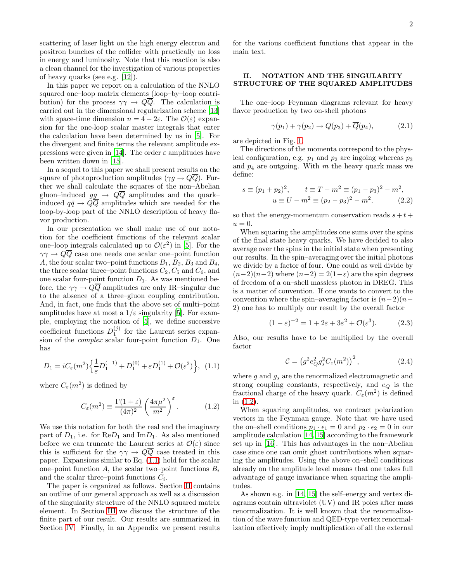scattering of laser light on the high energy electron and positron bunches of the collider with practically no loss in energy and luminosity. Note that this reaction is also a clean channel for the investigation of various properties of heavy quarks (see e.g. [\[12](#page-9-11)]).

In this paper we report on a calculation of the NNLO squared one–loop matrix elements (loop–by–loop contribution) for the process  $\gamma \gamma \rightarrow Q \overline{Q}$ . The calculation is carried out in the dimensional regularization scheme [\[13](#page-9-12)] with space-time dimension  $n = 4 - 2\varepsilon$ . The  $\mathcal{O}(\varepsilon)$  expansion for the one-loop scalar master integrals that enter the calculation have been determined by us in [\[5](#page-9-4)]. For the divergent and finite terms the relevant amplitude ex-pressions were given in [\[14\]](#page-9-13). The order  $\varepsilon$  amplitudes have been written down in [\[15](#page-10-0)].

In a sequel to this paper we shall present results on the square of photoproduction amplitudes ( $\gamma g \to Q\overline{Q}$ ). Further we shall calculate the squares of the non–Abelian gluon–induced  $gg \rightarrow Q\overline{Q}$  amplitudes and the quark– induced  $q\bar{q} \rightarrow Q\bar{Q}$  amplitudes which are needed for the loop-by-loop part of the NNLO description of heavy flavor production.

In our presentation we shall make use of our notation for the coefficient functions of the relevant scalar one–loop integrals calculated up to  $\mathcal{O}(\varepsilon^2)$  in [\[5](#page-9-4)]. For the  $\gamma\gamma \rightarrow Q\overline{Q}$  case one needs one scalar one–point function A, the four scalar two–point functions  $B_1$ ,  $B_2$ ,  $B_3$  and  $B_4$ , the three scalar three–point functions  $C_2, C_5$  and  $C_6$ , and one scalar four-point function  $D_1$ . As was mentioned before, the  $\gamma\gamma \to Q\overline{Q}$  amplitudes are only IR-singular due to the absence of a three–gluon coupling contribution. And, in fact, one finds that the above set of multi–point amplitudes have at most a  $1/\varepsilon$  singularity [\[5\]](#page-9-4). For example, employing the notation of [\[5](#page-9-4)], we define successive coefficient functions  $D_1^{(j)}$  for the Laurent series expansion of the *complex* scalar four-point function  $D_1$ . One has

<span id="page-1-0"></span>
$$
D_1 = iC_{\varepsilon}(m^2) \left\{ \frac{1}{\varepsilon} D_1^{(-1)} + D_1^{(0)} + \varepsilon D_1^{(1)} + \mathcal{O}(\varepsilon^2) \right\}, (1.1)
$$

where  $C_{\varepsilon}(m^2)$  is defined by

$$
C_{\varepsilon}(m^2) \equiv \frac{\Gamma(1+\varepsilon)}{(4\pi)^2} \left(\frac{4\pi\mu^2}{m^2}\right)^{\varepsilon}.
$$
 (1.2)

<span id="page-1-2"></span>We use this notation for both the real and the imaginary part of  $D_1$ , i.e. for  $\text{Re}D_1$  and  $\text{Im}D_1$ . As also mentioned before we can truncate the Laurent series at  $\mathcal{O}(\varepsilon)$  since this is sufficient for the  $\gamma\gamma \rightarrow Q\overline{Q}$  case treated in this paper. Expansions similar to Eq. [\(1.1\)](#page-1-0) hold for the scalar one–point function A, the scalar two–point functions  $B_i$ and the scalar three–point functions  $C_i$ .

The paper is organized as follows. Section [II](#page-1-1) contains an outline of our general approach as well as a discussion of the singularity structure of the NNLO squared matrix element. In Section [III](#page-4-0) we discuss the structure of the finite part of our result. Our results are summarized in Section [IV.](#page-4-1) Finally, in an Appendix we present results

for the various coefficient functions that appear in the main text.

# <span id="page-1-1"></span>II. NOTATION AND THE SINGULARITY STRUCTURE OF THE SQUARED AMPLITUDES

The one–loop Feynman diagrams relevant for heavy flavor production by two on-shell photons

$$
\gamma(p_1) + \gamma(p_2) \to Q(p_3) + \overline{Q}(p_4), \tag{2.1}
$$

are depicted in Fig. [1.](#page-2-0)

The directions of the momenta correspond to the physical configuration, e.g.  $p_1$  and  $p_2$  are ingoing whereas  $p_3$ and  $p_4$  are outgoing. With m the heavy quark mass we define:

$$
s \equiv (p_1 + p_2)^2, \qquad t \equiv T - m^2 \equiv (p_1 - p_3)^2 - m^2, u \equiv U - m^2 \equiv (p_2 - p_3)^2 - m^2. \tag{2.2}
$$

so that the energy-momentum conservation reads  $s + t +$  $u=0.$ 

When squaring the amplitudes one sums over the spins of the final state heavy quarks. We have decided to also average over the spins in the initial state when presenting our results. In the spin–averaging over the initial photons we divide by a factor of four. One could as well divide by  $(n-2)(n-2)$  where  $(n-2) = 2(1-\varepsilon)$  are the spin degrees of freedom of a on–shell massless photon in DREG. This is a matter of convention. If one wants to convert to the convention where the spin–averaging factor is  $(n-2)(n-$ 2) one has to multiply our result by the overall factor

$$
(1 - \varepsilon)^{-2} = 1 + 2\varepsilon + 3\varepsilon^2 + \mathcal{O}(\varepsilon^3). \tag{2.3}
$$

<span id="page-1-4"></span>Also, our results have to be multiplied by the overall factor

$$
\mathcal{C} = \left( g^2 e_Q^2 g_s^2 C_\varepsilon(m^2) \right)^2, \tag{2.4}
$$

<span id="page-1-3"></span>where  $g$  and  $g_s$  are the renormalized electromagnetic and strong coupling constants, respectively, and  $e_Q$  is the fractional charge of the heavy quark.  $C_{\varepsilon}(m^2)$  is defined in [\(1.2\)](#page-1-2).

When squaring amplitudes, we contract polarization vectors in the Feynman gauge. Note that we have used the on–shell conditions  $p_1 \cdot \epsilon_1 = 0$  and  $p_2 \cdot \epsilon_2 = 0$  in our amplitude calculation [\[14](#page-9-13), [15](#page-10-0)] according to the framework set up in [\[16\]](#page-10-1). This has advantages in the non–Abelian case since one can omit ghost contributions when squaring the amplitudes. Using the above on–shell conditions already on the amplitude level means that one takes full advantage of gauge invariance when squaring the amplitudes.

As shown e.g. in [\[14,](#page-9-13) [15](#page-10-0)] the self–energy and vertex diagrams contain ultraviolet (UV) and IR poles after mass renormalization. It is well known that the renormalization of the wave function and QED-type vertex renormalization effectively imply multiplication of all the external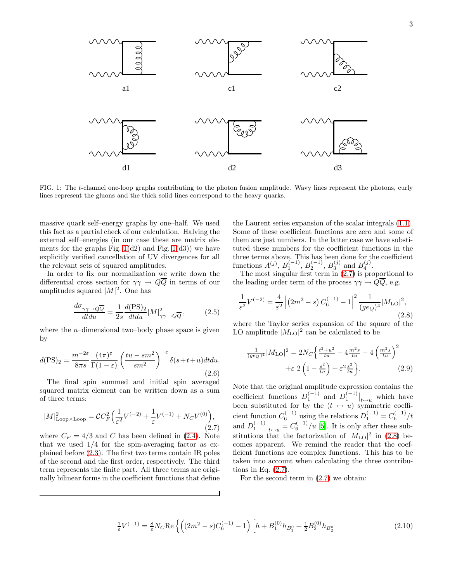

<span id="page-2-0"></span>FIG. 1: The t-channel one-loop graphs contributing to the photon fusion amplitude. Wavy lines represent the photons, curly lines represent the gluons and the thick solid lines correspond to the heavy quarks.

massive quark self–energy graphs by one–half. We used this fact as a partial check of our calculation. Halving the external self–energies (in our case these are matrix elements for the graphs Fig.  $1(d2)$  and Fig.  $1(d3)$ ) we have explicitly verified cancellation of UV divergences for all the relevant sets of squared amplitudes.

In order to fix our normalization we write down the differential cross section for  $\gamma\gamma \rightarrow Q\overline{Q}$  in terms of our amplitudes squared  $|M|^2$ . One has

$$
\frac{d\sigma_{\gamma\gamma \to Q\overline{Q}}}{dtdu} = \frac{1}{2s} \frac{d(\text{PS})_2}{dtdu} |M|^2_{\gamma\gamma \to Q\overline{Q}},\tag{2.5}
$$

where the  $n$ -dimensional two-body phase space is given by

$$
d(\text{PS})_2 = \frac{m^{-2\varepsilon}}{8\pi s} \frac{(4\pi)^{\varepsilon}}{\Gamma(1-\varepsilon)} \left(\frac{tu - sm^2}{sm^2}\right)^{-\varepsilon} \delta(s+t+u) dt du.
$$
\n(2.6)

The final spin summed and initial spin averaged squared matrix element can be written down as a sum of three terms:

$$
|M|_{\text{Loop} \times \text{Loop}}^2 = CC_F^2 \left( \frac{1}{\varepsilon^2} V^{(-2)} + \frac{1}{\varepsilon} V^{(-1)} + N_C V^{(0)} \right),\tag{2.7}
$$

<span id="page-2-1"></span>where  $C_F = 4/3$  and C has been defined in [\(2.4\)](#page-1-3). Note that we used  $1/4$  for the spin-averaging factor as explained before [\(2.3\)](#page-1-4). The first two terms contain IR poles of the second and the first order, respectively. The third term represents the finite part. All three terms are originally bilinear forms in the coefficient functions that define

the Laurent series expansion of the scalar integrals [\(1.1\)](#page-1-0). Some of these coefficient functions are zero and some of them are just numbers. In the latter case we have substituted these numbers for the coefficient functions in the three terms above. This has been done for the coefficient functions  $A^{(j)}$ ,  $B_1^{(-1)}$ ,  $B_2^{(-1)}$ ,  $B_3^{(j)}$  and  $B_4^{(j)}$ .

The most singular first term in [\(2.7\)](#page-2-1) is proportional to the leading order term of the process  $\gamma \gamma \rightarrow Q \overline{Q}$ , e.g.

<span id="page-2-2"></span>
$$
\frac{1}{\varepsilon^2} V^{(-2)} = \frac{4}{\varepsilon^2} \left| \left( 2m^2 - s \right) C_6^{(-1)} - 1 \right|^2 \frac{1}{(ge_Q)^4} |M_{\text{LO}}|^2,
$$
\n(2.8)

<span id="page-2-4"></span>where the Taylor series expansion of the square of the LO amplitude  $|M_{\text{LO}}|^2$  can be calculated to be

$$
\frac{1}{(ge_Q)^4} |M_{\text{LO}}|^2 = 2N_C \left\{ \frac{t^2 + u^2}{tu} + 4\frac{m^2 s}{tu} - 4\left(\frac{m^2 s}{tu}\right)^2 + \varepsilon \ 2\left(1 - \frac{s^2}{tu}\right) + \varepsilon^2 \frac{s^2}{tu} \right\}.
$$
\n(2.9)

Note that the original amplitude expression contains the coefficient functions  $D_1^{(-1)}$  and  $D_1^{(-1)}|_{t\to u}$  which have been substituted for by the  $(t \leftrightarrow u)$  symmetric coefficient function  $C_6^{(-1)}$  using the relations  $D_1^{(-1)} = C_6^{(-1)}/t$ and  $D_1^{(-1)}|_{t \leftrightarrow u} = C_6^{(-1)}/u$  [\[5\]](#page-9-4). It is only after these substitutions that the factorization of  $|M_{\text{LO}}|^2$  in [\(2.8\)](#page-2-2) becomes apparent. We remind the reader that the coefficient functions are complex functions. This has to be taken into account when calculating the three contributions in Eq. [\(2.7\)](#page-2-1).

For the second term in [\(2.7\)](#page-2-1) we obtain:

<span id="page-2-3"></span>
$$
\frac{1}{\varepsilon}V^{(-1)} = \frac{8}{\varepsilon}N_C \text{Re}\left\{ \left( (2m^2 - s)C_6^{(-1)} - 1 \right) \left[ h + B_1^{(0)}h_{B_1^0} + \frac{1}{2}B_2^{(0)}h_{B_2^0} \right] \right\}
$$
(2.10)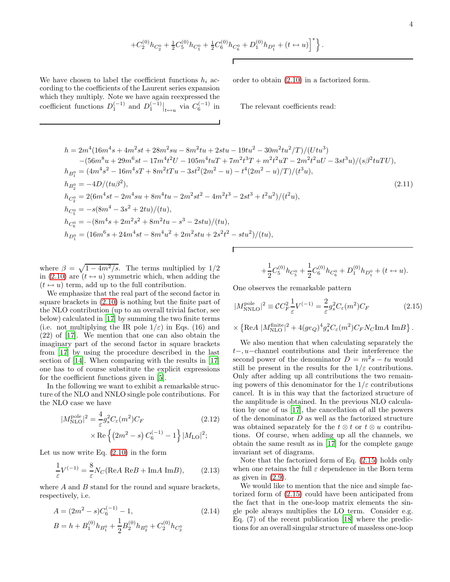$$
+C_2^{(0)}h_{C_2^0} + \frac{1}{2}C_5^{(0)}h_{C_5^0} + \frac{1}{2}C_6^{(0)}h_{C_6^0} + D_1^{(0)}h_{D_1^0} + (t \leftrightarrow u)^{\dagger} \bigg\}.
$$

We have chosen to label the coefficient functions  $h_i$  according to the coefficients of the Laurent series expansion which they multiply. Note we have again reexpressed the coefficient functions  $D_1^{(-1)}$  and  $D_1^{(-1)}|_{t \leftrightarrow u}$  via  $C_6^{(-1)}$  in order to obtain [\(2.10\)](#page-2-3) in a factorized form.

The relevant coefficients read:

$$
h = 2m^{4}(16m^{4}s + 4m^{2}st + 28m^{2}su - 8m^{2}tu + 2stu - 19tu^{2} - 30m^{2}tu^{2}/T)/(Utu^{3})
$$
  
\n
$$
-(56m^{8}u + 29m^{6}st - 17m^{4}t^{2}U - 105m^{4}tuT + 7m^{2}t^{3}T + m^{2}t^{2}uT - 2m^{2}t^{2}uU - 3st^{3}u)/(s\beta^{2}tuTU),
$$
  
\n
$$
h_{B_{1}^{0}} = (4m^{4}s^{2} - 16m^{4}sT + 8m^{2}tTu - 3st^{2}(2m^{2} - u) - t^{4}(2m^{2} - u)/T)/(t^{3}u),
$$
  
\n
$$
h_{B_{2}^{0}} = -4D/(tu\beta^{2}),
$$
  
\n
$$
h_{C_{2}^{0}} = 2(6m^{4}st - 2m^{4}su + 8m^{4}tu - 2m^{2}st^{2} - 4m^{2}t^{3} - 2st^{3} + t^{2}u^{2})/(t^{2}u),
$$
  
\n
$$
h_{C_{5}^{0}} = -s(8m^{4} - 3s^{2} + 2tu)/(tu),
$$
  
\n
$$
h_{C_{6}^{0}} = -(8m^{4}s + 2m^{2}s^{2} + 8m^{2}tu - s^{3} - 2stu)/(tu),
$$
  
\n
$$
h_{D_{1}^{0}} = (16m^{6}s + 24m^{4}st - 8m^{4}u^{2} + 2m^{2}stu + 2s^{2}t^{2} - stu^{2})/(tu),
$$

where  $\beta = \sqrt{1 - 4m^2/s}$ . The terms multiplied by 1/2 in [\(2.10\)](#page-2-3) are  $(t \leftrightarrow u)$  symmetric which, when adding the  $(t \leftrightarrow u)$  term, add up to the full contribution.

We emphasize that the real part of the second factor in square brackets in [\(2.10\)](#page-2-3) is nothing but the finite part of the NLO contribution (up to an overall trivial factor, see below) calculated in [\[17](#page-10-2)] by summing the two finite terms (i.e. not multiplying the IR pole  $1/\varepsilon$ ) in Eqs. (16) and (22) of [\[17](#page-10-2)]. We mention that one can also obtain the imaginary part of the second factor in square brackets from [\[17\]](#page-10-2) by using the procedure described in the last section of [\[14\]](#page-9-13). When comparing with the results in [\[17](#page-10-2)] one has to of course substitute the explicit expressions for the coefficient functions given in [\[5](#page-9-4)].

In the following we want to exhibit a remarkable structure of the NLO and NNLO single pole contributions. For the NLO case we have

$$
|M_{\rm NLO}^{\rm pole}|^2 = \frac{4}{\varepsilon} g_s^2 C_\varepsilon(m^2) C_F
$$
\n
$$
\times \text{Re}\left\{ (2m^2 - s) C_6^{(-1)} - 1 \right\} |M_{\rm LO}|^2;
$$
\n(2.12)

Let us now write Eq.  $(2.10)$  in the form

$$
\frac{1}{\varepsilon}V^{(-1)} = \frac{8}{\varepsilon}N_C(\text{Re}A \text{ Re}B + \text{Im}A \text{ Im}B),\qquad(2.13)
$$

where  $A$  and  $B$  stand for the round and square brackets, respectively, i.e.

$$
A = (2m^2 - s)C_6^{(-1)} - 1,
$$
  
\n
$$
B = h + B_1^{(0)}h_{B_1^0} + \frac{1}{2}B_2^{(0)}h_{B_2^0} + C_2^{(0)}h_{C_2^0}
$$
\n(2.14)

$$
+\frac{1}{2}C_5^{(0)}h_{C_5^0}+\frac{1}{2}C_6^{(0)}h_{C_6^0}+D_1^{(0)}h_{D_1^0}+(t\leftrightarrow u).
$$

One observes the remarkable pattern

<span id="page-3-0"></span>
$$
|M_{\text{NNLO}}^{\text{pole}}|^2 \equiv \mathcal{C}C_F^2 \frac{1}{\varepsilon} V^{(-1)} = \frac{2}{\varepsilon} g_s^2 C_\varepsilon(m^2) C_F \tag{2.15}
$$

$$
\times \left\{ \text{Re} A \ | M_{\text{NLO}}^{\text{finite}} \right|^2 + 4(ge_Q)^4 g_s^2 C_{\varepsilon}(m^2) C_F N_C \text{Im} A \text{Im} B \right\}.
$$

We also mention that when calculating separately the t−, u−channel contributions and their interference the second power of the denominator  $D = m^2 s - tu$  would still be present in the results for the  $1/\varepsilon$  contributions. Only after adding up all contributions the two remaining powers of this denominator for the  $1/\varepsilon$  contributions cancel. It is in this way that the factorized structure of the amplitude is obtained. In the previous NLO calculation by one of us [\[17\]](#page-10-2), the cancellation of all the powers of the denominator  $D$  as well as the factorized structure was obtained separately for the  $t \otimes t$  or  $t \otimes u$  contributions. Of course, when adding up all the channels, we obtain the same result as in [\[17\]](#page-10-2) for the complete gauge invariant set of diagrams.

Note that the factorized form of Eq. [\(2.15\)](#page-3-0) holds only when one retains the full  $\varepsilon$  dependence in the Born term as given in  $(2.9)$ .

We would like to mention that the nice and simple factorized form of [\(2.15\)](#page-3-0) could have been anticipated from the fact that in the one-loop matrix elements the single pole always multiplies the LO term. Consider e.g. Eq. (7) of the recent publication [\[18](#page-10-3)] where the predictions for an overall singular structure of massless one-loop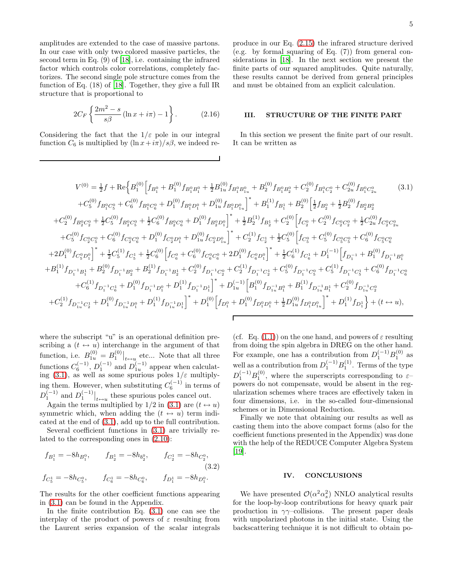amplitudes are extended to the case of massive partons. In our case with only two colored massive particles, the second term in Eq. (9) of [\[18\]](#page-10-3), i.e. containing the infrared factor which controls color correlations, completely factorizes. The second single pole structure comes from the function of Eq. (18) of [\[18](#page-10-3)]. Together, they give a full IR structure that is proportional to

$$
2C_F \left\{ \frac{2m^2 - s}{s\beta} \left( \ln x + i\pi \right) - 1 \right\}.
$$
 (2.16)

Considering the fact that the  $1/\varepsilon$  pole in our integral function  $C_6$  is multiplied by  $(\ln x + i\pi)/s\beta$ , we indeed reproduce in our Eq. [\(2.15\)](#page-3-0) the infrared structure derived (e.g. by formal squaring of Eq. (7)) from general considerations in [\[18\]](#page-10-3). In the next section we present the finite parts of our squared amplitudes. Quite naturally, these results cannot be derived from general principles and must be obtained from an explicit calculation.

# III. STRUCTURE OF THE FINITE PART

<span id="page-4-0"></span>In this section we present the finite part of our result. It can be written as

<span id="page-4-2"></span>
$$
V^{(0)} = \frac{1}{2}f + \text{Re}\Big\{B_{1}^{(0)}\Big[f_{B_{1}^{0}} + B_{1}^{(0)}f_{B_{1}^{0}B_{1}^{0}} + \frac{1}{2}B_{1u}^{(0)}f_{B_{1}^{0}B_{1}^{0}} + B_{2}^{(0)}f_{B_{1}^{0}B_{2}^{0}} + C_{2}^{(0)}f_{B_{1}^{0}C_{2}^{0}} + C_{2u}^{(0)}f_{B_{1}^{0}C_{2}^{0}} \qquad (3.1)
$$
  
\n
$$
+ C_{5}^{(0)}f_{B_{1}^{0}C_{5}^{0}} + C_{6}^{(0)}f_{B_{1}^{0}C_{6}^{0}} + D_{1}^{(0)}f_{B_{1}^{0}D_{1}^{0}} + D_{1u}^{(0)}f_{B_{1}^{0}D_{1}^{0}}\Big]^{*} + B_{1}^{(1)}f_{B_{1}^{1}} + B_{2}^{(0)}\Big[\frac{1}{2}f_{B_{2}^{0}} + \frac{1}{2}B_{2}^{(0)}f_{B_{2}^{0}B_{2}^{0}} + C_{2}^{(0)}f_{B_{2}^{0}C_{2}^{0}} + \frac{1}{2}C_{5}^{(0)}f_{B_{2}^{0}C_{5}^{0}} + \frac{1}{2}C_{6}^{(0)}f_{B_{2}^{0}C_{5}^{0}} + D_{1}^{(0)}f_{B_{2}^{0}D_{1}^{0}}\Big]^{*} + \frac{1}{2}B_{2}^{(1)}f_{B_{2}^{1}} + C_{2}^{(0)}\Big[f_{C_{2}^{0}} + C_{2}^{(0)}f_{C_{2}^{0}C_{2}^{0}} + \frac{1}{2}C_{2u}^{(0)}f_{C_{2}^{0}C_{2}^{0}} + C_{6}^{(0)}f_{C_{2}^{0}C_{5}^{0}} + C_{6}^{(0)}f_{C_{2}^{0}C_{5}^{0}} + D_{1}^{(0)}f_{C_{2}^{0}D_{1}^{0}}\Big]^{*} + C_{2}^{(1)}f_{C_{2}^{1}} + \frac{1}{2}C_{5}^{(0)}\Big[f_{C_{5}^{0}} + C_{5}^{(0)}f_{C_{5}^{0}C_{5}^{0}} + 2D_{1
$$

where the subscript "u" is an operational definition prescribing a  $(t \leftrightarrow u)$  interchange in the argument of that function, i.e.  $B_1^{(0)} = B_1^{(0)}|_{t \leftrightarrow u}$  etc... Note that all three functions  $C_6^{(-1)}$ ,  $D_1^{(-1)}$  and  $D_{1u}^{(-1)}$  appear when calculat-ing [\(3.1\)](#page-4-2), as well as some spurious poles  $1/\varepsilon$  multiplying them. However, when substituting  $C_6^{(-1)}$  in terms of  $D_1^{(-1)}$  and  $D_1^{(-1)}|_{t\leftrightarrow u}$  these spurious poles cancel out.

Again the terms multiplied by  $1/2$  in [\(3.1\)](#page-4-2) are  $(t \leftrightarrow u)$ symmetric which, when adding the  $(t \leftrightarrow u)$  term indicated at the end of [\(3.1\)](#page-4-2), add up to the full contribution.

Several coefficient functions in [\(3.1\)](#page-4-2) are trivially related to the corresponding ones in [\(2.10\)](#page-2-3):

$$
f_{B_1^1} = -8h_{B_1^0}, \t f_{B_2^1} = -8h_{b_2^0}, \t f_{C_2^1} = -8h_{C_2^0},
$$
  
(3.2)  

$$
f_{C_5^1} = -8h_{C_5^0}, \t f_{C_6^1} = -8h_{C_6^0}, \t f_{D_1^1} = -8h_{D_1^0}.
$$

The results for the other coefficient functions appearing in [\(3.1\)](#page-4-2) can be found in the Appendix.

In the finite contribution Eq. [\(3.1\)](#page-4-2) one can see the interplay of the product of powers of  $\varepsilon$  resulting from the Laurent series expansion of the scalar integrals

(cf. Eq. [\(1.1\)](#page-1-0)) on the one hand, and powers of  $\varepsilon$  resulting from doing the spin algebra in DREG on the other hand. For example, one has a contribution from  $D_1^{(-1)}B_1^{(0)}$  as well as a contribution from  $D_1^{(-1)}B_1^{(1)}$ . Terms of the type  $D_1^{(-1)}B_1^{(0)}$ , where the superscripts corresponding to  $\varepsilon$ powers do not compensate, would be absent in the regularization schemes where traces are effectively taken in four dimensions, i.e. in the so-called four-dimensional schemes or in Dimensional Reduction.

Finally we note that obtaining our results as well as casting them into the above compact forms (also for the coefficient functions presented in the Appendix) was done with the help of the REDUCE Computer Algebra System [\[19\]](#page-10-4).

## IV. CONCLUSIONS

<span id="page-4-1"></span>We have presented  $\mathcal{O}(\alpha^2 \alpha_s^2)$  NNLO analytical results for the loop-by-loop contributions for heavy quark pair production in  $\gamma\gamma$ –collisions. The present paper deals with unpolarized photons in the initial state. Using the backscattering technique it is not difficult to obtain po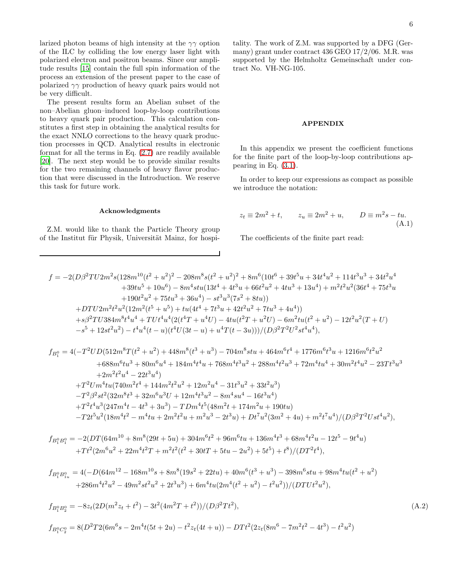larized photon beams of high intensity at the  $\gamma\gamma$  option of the ILC by colliding the low energy laser light with polarized electron and positron beams. Since our amplitude results [\[15\]](#page-10-0) contain the full spin information of the process an extension of the present paper to the case of polarized  $\gamma\gamma$  production of heavy quark pairs would not be very difficult.

The present results form an Abelian subset of the non–Abelian gluon–induced loop-by-loop contributions to heavy quark pair production. This calculation constitutes a first step in obtaining the analytical results for the exact NNLO corrections to the heavy quark production processes in QCD. Analytical results in electronic format for all the terms in Eq. [\(2.7\)](#page-2-1) are readily available [\[20\]](#page-10-5). The next step would be to provide similar results for the two remaining channels of heavy flavor production that were discussed in the Introduction. We reserve this task for future work.

tality. The work of Z.M. was supported by a DFG (Germany) grant under contract 436 GEO 17/2/06. M.R. was supported by the Helmholtz Gemeinschaft under contract No. VH-NG-105.

#### APPENDIX

In this appendix we present the coefficient functions for the finite part of the loop-by-loop contributions appearing in Eq. [\(3.1\)](#page-4-2).

In order to keep our expressions as compact as possible we introduce the notation:

## Acknowledgments

Z.M. would like to thank the Particle Theory group of the Institut für Physik, Universität Mainz, for hospi-

$$
z_t \equiv 2m^2 + t, \qquad z_u \equiv 2m^2 + u, \qquad D \equiv m^2 s - t u. \tag{A.1}
$$

The coefficients of the finite part read:

$$
f = -2(D\beta^2 TU2m^2 s (128m^{10}(t^2 + u^2)^2 - 208m^8 s (t^2 + u^2)^2 + 8m^6 (10t^6 + 39t^5 u + 34t^4 u^2 + 114t^3 u^3 + 34t^2 u^4
$$
  
+39tu<sup>5</sup> + 10u<sup>6</sup>) - 8m<sup>4</sup>stu (13t<sup>4</sup> + 4t<sup>3</sup> u + 66t<sup>2</sup> u<sup>2</sup> + 4tu<sup>3</sup> + 13u<sup>4</sup>) + m<sup>2</sup>t<sup>2</sup> u<sup>2</sup> (36t<sup>4</sup> + 75t<sup>3</sup> u  
+190t<sup>2</sup> u<sup>2</sup> + 75tu<sup>3</sup> + 36u<sup>4</sup>) - st<sup>3</sup> u<sup>3</sup> (7s<sup>2</sup> + 8tu))  
+DTU2m<sup>2</sup>t<sup>2</sup> u<sup>2</sup> (12m<sup>2</sup>(t<sup>5</sup> + u<sup>5</sup>) + tu(4t<sup>4</sup> + 7t<sup>3</sup> u + 42t<sup>2</sup> u<sup>2</sup> + 7tu<sup>3</sup> + 4u<sup>4</sup>))  
+s\beta^2 TU384m<sup>8</sup>t<sup>4</sup> u<sup>4</sup> + TUt<sup>4</sup> u<sup>4</sup> (2(t<sup>4</sup>T + u<sup>4</sup>U) - 4tu(t<sup>2</sup>T + u<sup>2</sup>U) - 6m<sup>2</sup> tu(t<sup>2</sup> + u<sup>2</sup>) - 12t<sup>2</sup> u<sup>2</sup> (T + U)  
-s<sup>5</sup> + 12st<sup>2</sup> u<sup>2</sup>) - t<sup>4</sup> u<sup>4</sup> (t - u)(t<sup>4</sup> U(3t - u) + u<sup>4</sup> T(t - 3u)))/(D\beta^2 T^2 U<sup>2</sup> s t<sup>4</sup> u<sup>4</sup>),

$$
\begin{aligned} f_{B_1^0} &= 4(-T^2UD(512m^8T(t^2+u^2)+448m^8(t^3+u^3)-704m^8stu+464m^6t^4+1776m^6t^3u+1216m^6t^2u^2\\ &\quad+688m^6tu^3+80m^6u^4+184m^4t^4u+768m^4t^3u^2+288m^4t^2u^3+72m^4tu^4+30m^2t^4u^2-23Tt^3u^3\\ &\quad+2m^2t^2u^4-22t^3u^4)\\ +T^2Um^4tu(740m^2t^4+144m^2t^2u^2+12m^2u^4-31t^3u^2+33t^2u^3)\\ -T^2\beta^2st^2(32m^8t^3+32m^6u^3U+12m^4t^3u^2-8m^4su^4-16t^3u^4)\\ +T^2t^4u^3(247m^4t-4t^3+3u^3)-TDm^4t^5(48m^2t+174m^2u+190tu)\\ -T2t^5u^2(18m^4t^2-m^4tu+2m^2t^2u+m^2u^3-2t^3u)+Dt^7u^2(3m^2+4u)+m^2t^7u^4)/(D\beta^2T^2Ust^4u^2), \end{aligned}
$$

$$
f_{B_1^0B_1^0} = -2(DT(64m^{10} + 8m^8(29t + 5u) + 304m^6t^2 + 96m^6tu + 136m^4t^3 + 68m^4t^2u - 12t^5 - 9t^4u) + Tt^2(2m^6u^2 + 22m^4t^2T + m^2t^2(t^2 + 30tT + 5tu - 2u^2) + 5t^5) + t^8)/(DT^2t^4),
$$

$$
\begin{aligned} f_{B_1^0B_{1u}^0} &= 4(-D(64m^{12}-168m^{10}s+8m^8(19s^2+22tu)+40m^6(t^3+u^3)-398m^6stu+98m^4tu(t^2+u^2)\\ &\qquad+286m^4t^2u^2-49m^2st^2u^2+2t^3u^3)+6m^4tu(2m^4(t^2+u^2)-t^2u^2))/(DTUt^2u^2), \end{aligned}
$$

$$
f_{B_1^0 B_2^0} = -8z_t(2D(m^2z_t + t^2) - 3t^2(4m^2T + t^2))/(D\beta^2Tt^2),
$$
\n
$$
f_{B_1^0 C_2^0} = 8(D^2T2(6m^6s - 2m^4t(5t + 2u) - t^2z_t(4t + u)) - DTt^2(2z_t(8m^6 - 7m^2t^2 - 4t^3) - t^2u^2)
$$
\n(A.2)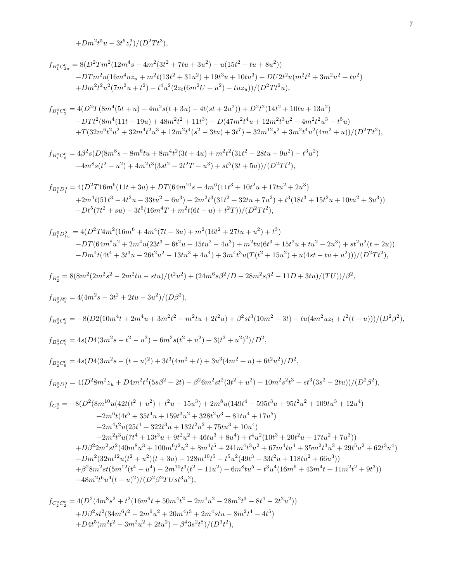$$
+ Dm^2t^5u - 3t^6z_t^3)/(D^2Tt^3),\\
$$

$$
f_{B_1^0C_{2u}^0} = 8(D^2Tm^2(12m^4s - 4m^2(3t^2 + 7tu + 3u^2) - u(15t^2 + tu + 8u^2))
$$
  
-
$$
-DTm^2u(16m^4uz_u + m^2t(13t^2 + 31u^2) + 19t^3u + 10tu^3) + DU2t^2u(m^2t^2 + 3m^2u^2 + tu^2)
$$
  
+
$$
Dm^2t^2u^2(7m^2u + t^2) - t^4u^2(2z_t(6m^2U + u^2) - tuz_u))/(D^2Tt^2u),
$$

$$
\begin{aligned} f_{B_1^0C_5^0} &= 4(D^2T(8m^4(5t+u)-4m^2s(t+3u)-4t(st+2u^2))+D^2t^2(14t^2+10tu+13u^2) \\ &\quad -DTt^2(8m^4(11t+19u)+48m^2t^2+11t^3)-D(47m^2t^4u+12m^2t^3u^2+4m^2t^2u^3-t^5u) \\ &\quad +T(32m^6t^2u^2+32m^4t^2u^3+12m^2t^4(s^2-3tu)+3t^7)-32m^{12}s^2+3m^2t^4u^2(4m^2+u))/(D^2Tt^2), \end{aligned}
$$

$$
f_{B_1^0C_6^0} = 4\beta^2 s (D(8m^8s + 8m^6tu + 8m^4t^2(3t + 4u) + m^2t^2(31t^2 + 28tu - 9u^2) - t^3u^2)
$$
  

$$
-4m^8s(t^2 - u^2) + 4m^2t^3(3st^2 - 2t^2T - u^3) + st^5(3t + 5u))/(D^2Tt^2),
$$

$$
\begin{aligned} f_{B_1^0D_1^0} &= 4(D^2T16m^6(11t+3u)+DT(64m^{10}s-4m^6(11t^3+10t^2u+17tu^2+2u^3) \\ &\quad +2m^4t(51t^3-4t^2u-33tu^2-6u^3)+2m^2t^3(31t^2+32tu+7u^2)+t^3(18t^3+15t^2u+10tu^2+3u^3)) \\ &\quad -Dt^5(7t^2+su)-3t^6(16m^4T+m^2t(6t-u)+t^2T))/(D^2Tt^2), \end{aligned}
$$

$$
\begin{aligned} f_{B_1^0 D_{1u}^0} &= 4(D^2T4m^2(16m^6+4m^4(7t+3u)+m^2(16t^2+27tu+u^2)+t^3) \\ &- DT(64m^8u^2+2m^4u(23t^3-6t^2u+15tu^2-4u^3)+m^2tu(6t^3+15t^2u+tu^2-2u^3)+st^2u^2(t+2u)) \\ &- Dm^4t(4t^4+3t^3u-26t^2u^2-13tu^3+4u^4)+3m^4t^3u(T(t^2+15u^2)+u(4st-tu+u^2)))/(D^2Tt^2), \end{aligned}
$$

$$
f_{B_2^0}=8(8m^2(2m^2s^2-2m^2tu-stu)/(t^2u^2)+(24m^6s\beta^2/D-28m^2s\beta^2-11D+3tu)/(TU))/\beta^2,
$$

$$
\begin{split} f_{B_{2}^{0}B_{2}^{0}} &= 4(4m^{2}s-3t^{2}+2tu-3u^{2})/(D\beta^{2}), \\ f_{B_{2}^{0}C_{2}^{0}} &= -8(D2(10m^{4}t+2m^{4}u+3m^{2}t^{2}+m^{2}tu+2t^{2}u)+\beta^{2}st^{3}(10m^{2}+3t)-tu(4m^{2}uz_{t}+t^{2}(t-u)))/(D^{2}\beta^{2}), \\ f_{B_{2}^{0}C_{5}^{0}} &= 4s(D4(3m^{2}s-t^{2}-u^{2})-6m^{2}s(t^{2}+u^{2})+3(t^{2}+u^{2})^{2})/D^{2}, \\ f_{B_{2}^{0}C_{6}^{0}} &= 4s(D4(3m^{2}s-(t-u)^{2})+3t^{3}(4m^{2}+t)+3u^{3}(4m^{2}+u)+6t^{2}u^{2})/D^{2}, \\ f_{B_{2}^{0}D_{1}^{0}} &= 4(D^{2}8m^{2}z_{u}+D4m^{2}t^{2}(5s\beta^{2}+2t)-\beta^{2}6m^{2}st^{2}(3t^{2}+u^{2})+10m^{2}s^{2}t^{3}-st^{3}(3s^{2}-2tu))/(D^{2}\beta^{2}), \\ f_{C_{2}^{0}} &= -8(D^{2}(8m^{10}u(42t(t^{2}+u^{2})+t^{2}u+15u^{3})+2m^{8}u(149t^{4}+595t^{3}u+95t^{2}u^{2}+109tu^{3}+12u^{4}) \\ &\quad +2m^{6}t(4t^{5}+35t^{4}u+159t^{3}u^{2}+328t^{2}u^{3}+81tu^{4}+17u^{5}) \\ &\quad +2m^{4}t^{2}u(25t^{4}+322t^{3}u+132t^{2}u^{2}+75tu^{3}+10u^{4}) \\ &\quad +2m^{2}t^{3}u(7t^{4}+13t^{3}u+9t^{2}u^{2}+46tu^{3}+8u^{4})+t^{4}u^{2}(10t^{3}+20t^{2}u+17tu^{2}+7u^{3})) \\ &\quad +D\beta^{2}2m^{2}s^{2}(40m^{8}u^{3}+1
$$

$$
f_{C_2^0C_2^0} = 4(D^2(4m^8s^2 + t^2(16m^6t + 50m^4t^2 - 2m^4u^2 - 28m^2t^3 - 8t^4 - 2t^2u^2))
$$
  
+  $D\beta^2st^2(34m^6t^2 - 2m^6u^2 + 20m^4t^3 + 2m^4stu - 8m^2t^4 - 4t^5)$   
+  $D4t^5(m^2t^2 + 3m^2u^2 + 2tu^2) - \beta^43s^2t^8)/(D^3t^2)$ ,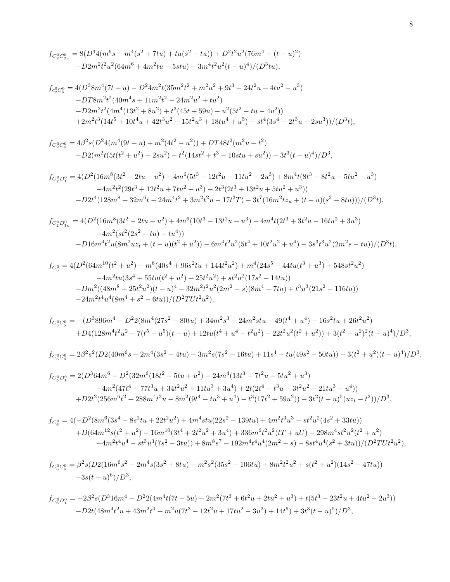$$
f_{C_2^0 C_{2u}^0} = 8(D^3 4(m^6 s - m^4 (s^2 + 7tu) + tu(s^2 - tu)) + D^2 t^2 u^2 (76m^4 + (t - u)^2) -D2m^2 t^2 u^2 (64m^6 + 4m^2 tu - 5stu) - 3m^4 t^2 u^2 (t - u)^4)/(D^3 tu),
$$

$$
f_{c_2^0C_5^0} = 4(D^38m^4(7t+u) - D^24m^2t(35m^2t^2 + m^2u^2 + 9t^3 - 24t^2u - 4tu^2 - u^3)
$$
  
-
$$
-DT8m^2t^2(40m^4s + 11m^2t^2 - 24m^2u^2 + tu^2)
$$
  
-
$$
D2m^2t^2(4m^4(13t^2 + 8u^2) + t^3(45t + 59u) - u^2(5t^2 - tu - 4u^2))
$$
  
+
$$
2m^2t^3(14t^5 + 10t^4u + 42t^3u^2 + 15t^2u^3 + 18tu^4 + u^5) - st^4(3s^4 - 2t^3u - 2su^3)/(D^3t),
$$

$$
f_{C_2^0C_6^0} = 4\beta^2 s (D^2 4(m^4(9t+u) + m^2(4t^2 - u^2)) + DT48t^2(m^2u + t^2)
$$
  
-D2(m^2t(5t(t^2+u^2) + 2su^2) - t^2(14st^2 + t^3 - 10stu + su^2)) - 3t^3(t-u)^4)/D^3,

$$
f_{C_2^0 D_1^0} = 4(D^2(16m^8(3t^2 - 2tu - u^2) + 4m^6(5t^3 - 12t^2u - 11tu^2 - 2u^3) + 8m^4t(8t^3 - 8t^2u - 5tu^2 - u^3) - 4m^2t^2(29t^3 + 12t^2u + 7tu^2 + u^3) - 2t^3(2t^3 + 13t^2u + 5tu^2 + u^3)) - D2t^4(128m^8 + 32m^6t - 24m^4t^2 + 3m^2t^2u - 17t^3T) - 3t^7(16m^2tz_u + (t - u)(s^2 - 8tu)))/(D^3t),
$$

$$
f_{C_2^0 D_{1u}^0} = 4(D^2(16m^8(3t^2 - 2tu - u^2) + 4m^6(10t^3 - 13t^2u - u^3) - 4m^4t(2t^3 + 3t^2u - 16tu^2 + 3u^3) + 4m^2(st^2(2s^2 - tu) - tu^4)) -D16m^4t^2u(8m^2uz_t + (t - u)(t^2 + u^2)) - 6m^4t^2u^2(5t^4 + 10t^2u^2 + u^4) - 3s^3t^3u^2(2m^2s - tu))/(D^3t),
$$

$$
f_{C_5^0} = 4(D^2(64m^{10}(t^2 + u^2) - m^6(40s^4 + 96s^2tu + 144t^2u^2) + m^4(24s^5 + 44tu(t^3 + u^3) + 548st^2u^2)
$$
  
\n
$$
-4m^2tu(3s^4 + 55tu(t^2 + u^2) + 25t^2u^2) + st^2u^2(17s^2 - 14tu))
$$
  
\n
$$
-Dm^2((48m^8 - 25t^2u^2)(t - u)^4 - 32m^2t^2u^2(2m^2 - s)(8m^4 - 7tu) + t^3u^3(21s^2 - 116tu))
$$
  
\n
$$
-24m^2t^4u^4(8m^4 + s^2 - 6tu))/(D^2TU^2u^2),
$$

$$
f_{C_5^0C_5^0} = -(D^3 896m^4 - D^2 2(8m^4(27s^2 - 80tu) + 34m^2s^3 + 24m^2stu - 49(t^4 + u^4) - 16s^2tu + 26t^2u^2) + D4(128m^4t^2u^2 - 7(t^5 - u^5)(t - u) + 12tu(t^4 + u^4 - t^2u^2) - 22t^2u^2(t^2 + u^2)) + 3(t^2 + u^2)^2(t - u)^4)/D^3,
$$

$$
f_{C_5^0C_6^0} = 2\beta^2 s^2 (D2(40m^6 s - 2m^4 (3s^2 - 4tu) - 3m^2 s (7s^2 - 16tu) + 11s^4 - tu(49s^2 - 50tu)) - 3(t^2 + u^2)(t - u)^4)/D^3,
$$

$$
f_{C_5^0 D_1^0} = 2(D^3 64m^6 - D^2 (32m^6 (18t^2 - 5tu + u^2) - 24m^4 (13t^3 - 7t^2u + 5tu^2 + u^3)
$$
  
\n
$$
-4m^2 (47t^4 + 77t^3u + 34t^2u^2 + 11tu^3 + 3u^4) + 2t(2t^4 - t^3u - 3t^2u^2 - 21tu^3 - u^4))
$$
  
\n
$$
+ D2t^2 (256m^6t^2 + 288m^4t^2u - 8m^2(9t^4 - tu^3 + u^4) - t^3(17t^2 + 59u^2)) - 3t^2(t - u)^5(uz_t - t^2))/D^3,
$$

$$
\begin{aligned} f_{C_6^0} = 4 \big( & - D^2 \big(8 m^6 (3 s^4 - 8 s^2 t u + 22 t^2 u^2) + 4 m^4 s t u (22 s^2 - 139 t u) + 4 m^2 t^3 u^3 - s t^2 u^2 \big(4 s^2 + 33 t u\big)\big) \\ + D \big(64 m^{12} s (t^2 + u^2) - 16 m^{10} (3 t^4 + 2 t^2 u^2 + 3 u^4) + 336 m^6 t^2 u^2 (t T + u U) - 298 m^4 s t^2 u^2 (t^2 + u^2) \\ + 4 m^2 t^4 u^4 - s t^3 u^3 (7 s^2 - 3 t u)) + 8 m^8 s^7 - 192 m^4 t^4 u^4 (2 m^2 - s) - 8 s t^4 u^4 (s^2 + 3 t u) \big) / (D^2 T U t^2 u^2), \end{aligned}
$$

$$
f_{C_6^0C_6^0} = \beta^2 s (D2(16m^6 s^2 + 2m^4 s (3s^2 + 8tu) - m^2 s^2 (35s^2 - 106tu) + 8m^2 t^2 u^2 + s(t^2 + u^2)(14s^2 - 47tu))
$$
  
- 3s(t - u)<sup>6</sup>)/D<sup>3</sup>,

$$
\begin{split} f_{C^0_6D^0_1} = -2\beta^2s(D^316m^4 - D^22(4m^4t(7t-5u) - 2m^2(7t^3 + 6t^2u + 2tu^2 + u^3) + t(5t^3 - 23t^2u + 4tu^2 - 2u^3)) \\ -D2t(48m^4t^2u + 43m^2t^4 + m^2u(7t^3 - 12t^2u + 17tu^2 - 3u^3) + 14t^5) + 3t^3(t - u)^5)/D^3, \end{split}
$$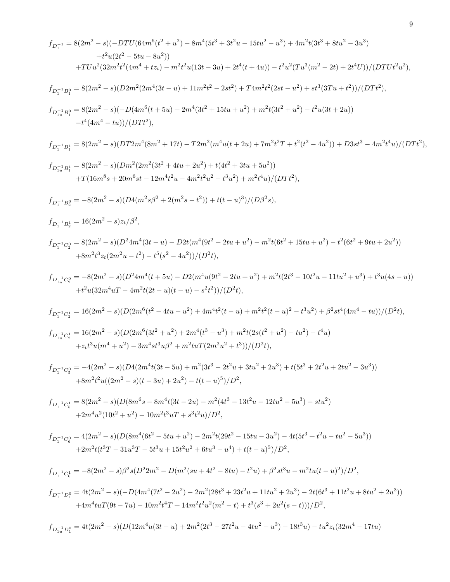$$
\begin{split} f_{D_1^{-1}} &= 8(2m^2-s)(-DTU(64m^6(t^2+w^2)-8m^4(5t^3+3t^2u-15tu^2-u^3)+4m^2t(3t^3+8tu^2-3u^3)\\ &\qquad \qquad + t^2u(2t^2-5tu-8u^2))\\ &\qquad \qquad + t^2u(2t^2-5tu-8u^2)\\ &\qquad \qquad + T Uu^2(32m^2t^2(4m^4+tz_1)-m^2t^2u(13t-3u)+2t^4(t+4u))-t^2u^2(Tu^3(m^2-2t)+2t^4U))/(D T U^2u^3),\\ f_{D_{1-1}^{-1}R_1^0}&= 8(2m^2-s)(D2m^2(2m^4(3t-u)+11m^2t^2-2st^2)+T4m^2t^2(2st-u^2)+st^3(3Tu+t^2))/(D T t^2),\\ f_{D_{1-1}^{-1}R_1^0}&= 8(2m^2-s)(D T u^6(t+5u)+2m^4(3t^2+15tu+u^2)+m^2t(3t^2+u^2)-t^2u(3t+2u))\\ &\qquad \qquad -t^4(4m^4-tu))/(D T t^2),\\ f_{D_{1+}^{-1}D_1^1}&=8(2m^2-s)(D T u^2(8m^2+17t)-T2m^2(m^4u(t+2u)+7m^2t^2T+t^2(t^2-4u^2))+D3st^3-4m^2t^4u)/(D T t^2),\\ f_{D_{1+}^{-1}D_1^1}&=8(2m^2-s)(Dm^2(2m^2(3t^2+4tu+2u^2)+t(4t^2+3tu+5u^2))\\ &\qquad \qquad + T(16m^8s+20m^6st-12m^4t^2u-4m^2t^2u^2-6u^2)+m^2t^4u)/(D T t^2),\\ f_{D_1^{-1}D_1^1}&=16(2m^2-s)z_4/\beta^2,\\ f_{D_1^{-1}^{-1}D_1^1}&=16(2m^2-s)z_4/\beta^2,\\ f_{D_1^{-1}^{-1}D_1^1}&=16(2m^2-s)z_4/\beta^2,\\ f_{D_1
$$

9

$$
f_{D_1^{-1}D_1^0} = 4t(2m^2 - s)(-D(4m^4(7t^2 - 2u^2) - 2m^2(28t^3 + 23t^2u + 11tu^2 + 2u^3) - 2t(6t^3 + 11t^2u + 8tu^2 + 2u^3))
$$
  
+4m^4tuT(9t - 7u) - 10m^2t^4T + 14m^2t^2u^2(m^2 - t) + t^3(s^3 + 2u^2(s - t)))/D^2,

$$
f_{D_{1u}^{-1}D_1^0} = 4t(2m^2 - s)(D(12m^4u(3t - u) + 2m^2(2t^3 - 27t^2u - 4tu^2 - u^3) - 18t^3u) - tu^2z_t(32m^4 - 17tu)
$$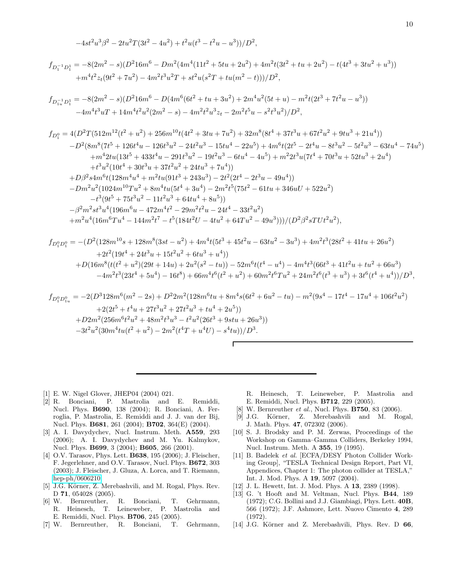$$
-4st^2u^3\beta^2 - 2tu^2T(3t^2 - 4u^2) + t^2u(t^3 - t^2u - u^3))/D^2,
$$
\n
$$
f_{D_1^{-1}D_1^1} = -8(2m^2 - s)(D^216m^6 - Dm^2(4m^4(11t^2 + 5tu + 2u^2) + 4m^2t(3t^2 + tu + 2u^2) - t(4t^3 + 3tu^2 + u^3))
$$
\n
$$
+ m^4t^2z_t(9t^2 + 7u^2) - 4m^2t^3u^2T + st^2u(s^2T + tu(m^2 - t)))/D^2,
$$
\n
$$
f_{D_{1u}^{-1}D_1^1} = -8(2m^2 - s)(D^216m^6 - D(4m^6(6t^2 + tu + 3u^2) + 2m^4u^2(5t + u) - m^2t(2t^3 + 7t^2u - u^3))
$$
\n
$$
-4m^4t^3uT + 14m^4t^2u^2(2m^2 - s) - 4m^2t^2u^3z_t - 2m^2t^5u - s^2t^3u^2)/D^2,
$$
\n
$$
f_{D_1^0} = 4(D^2T(512m^{12}(t^2 + u^2) + 256m^{10}t(4t^2 + 3tu + 7u^2) + 32m^8(8t^4 + 37t^3u + 67t^2u^2 + 9tu^3 + 21u^4))
$$
\n
$$
-D^2(8m^8(7t^5 + 126t^4u - 126t^3u^2 - 24t^2u^3 - 15tu^4 - 22u^5) + 4m^6t(2t^5 - 2t^4u - 8t^3u^2 - 5t^2u^3 - 63tu^4 - 74u^5) + m^42tu(13t^5 + 433t^4u - 291t^3u^2 - 19t^2u^3 - 6tu^4 - 4u^5) + m^22t^3u(7t^4 + 70t^3u + 52tu^3 + 2u^4) + t^3u^2(10t^4 + 30t^3u + 37t
$$

$$
f_{D_1^0 D_1^0} = -(D^2(128m^{10}s + 128m^8(3st - u^2) + 4m^4t(5t^3 + 45t^2u - 63tu^2 - 3u^3) + 4m^2t^3(28t^2 + 41tu + 26u^2)
$$
  
+2t<sup>2</sup>(19t<sup>4</sup> + 24t<sup>3</sup>u + 15t<sup>2</sup>u<sup>2</sup> + 6tu<sup>3</sup> + u<sup>4</sup>))  
+D(16m<sup>8</sup>(t(t<sup>2</sup> + u<sup>2</sup>)(29t + 14u) + 2u<sup>2</sup>(s<sup>2</sup> - tu)) - 52m<sup>6</sup>t(t<sup>4</sup> - u<sup>4</sup>) - 4m<sup>4</sup>t<sup>3</sup>(66t<sup>3</sup> + 41t<sup>2</sup>u + tu<sup>2</sup> + 66u<sup>3</sup>)  
-4m<sup>2</sup>t<sup>3</sup>(23t<sup>4</sup> + 5u<sup>4</sup>) - 16t<sup>8</sup>) + 66m<sup>4</sup>t<sup>6</sup>(t<sup>2</sup> + u<sup>2</sup>) + 60m<sup>2</sup>t<sup>6</sup>Tu<sup>2</sup> + 24m<sup>2</sup>t<sup>6</sup>(t<sup>3</sup> + u<sup>3</sup>) + 3t<sup>6</sup>(t<sup>4</sup> + u<sup>4</sup>))/D<sup>3</sup>,

$$
f_{D_1^0 D_{1u}^0} = -2(D^3 128m^6(m^2 - 2s) + D^2 2m^2(128m^6tu + 8m^4s(6t^2 + 6u^2 - tu) - m^2(9s^4 - 17t^4 - 17u^4 + 106t^2u^2) + 2(2t^5 + t^4u + 27t^3u^2 + 27t^2u^3 + tu^4 + 2u^5)) + D2m^2(256m^6t^2u^2 + 48m^2t^3u^3 - t^2u^2(26t^3 + 9stu + 26u^3)) - 3t^2u^2(30m^4tu(t^2 + u^2) - 2m^2(t^4T + u^4U) - s^4tu))/D^3.
$$

Г

- <span id="page-9-0"></span>[1] E. W. Nigel Glover, JHEP04 (2004) 021.
- <span id="page-9-1"></span>[2] R. Bonciani, P. Mastrolia and E. Remiddi, Nucl. Phys. B690, 138 (2004); R. Bonciani, A. Ferroglia, P. Mastrolia, E. Remiddi and J. J. van der Bij, Nucl. Phys. **B681**, 261 (2004); **B702**, 364(E) (2004).
- <span id="page-9-2"></span>[3] A. I. Davydychev, Nucl. Instrum. Meth. A559, 293 (2006); A. I. Davydychev and M. Yu. Kalmykov, Nucl. Phys. B699, 3 (2004); B605, 266 (2001).
- <span id="page-9-3"></span>[4] O.V. Tarasov, Phys. Lett. **B638**, 195 (2006); J. Fleischer, F. Jegerlehner, and O.V. Tarasov, Nucl. Phys. B672, 303 (2003); J. Fleischer, J. Gluza, A. Lorca, and T. Riemann, [hep-ph/0606210.](http://arxiv.org/abs/hep-ph/0606210)
- <span id="page-9-4"></span>[5] J.G. Körner, Z. Merebashvili, and M. Rogal, Phys. Rev. D 71, 054028 (2005).
- <span id="page-9-5"></span>[6] W. Bernreuther, R. Bonciani, T. Gehrmann, R. Heinesch, T. Leineweber, P. Mastrolia and E. Remiddi, Nucl. Phys. B706, 245 (2005).
- <span id="page-9-6"></span>[7] W. Bernreuther, R. Bonciani, T. Gehrmann,

R. Heinesch, T. Leineweber, P. Mastrolia and E. Remiddi, Nucl. Phys. B712, 229 (2005).

- [8] W. Bernreuther et al., Nucl. Phys. **B750**, 83 (2006).
- <span id="page-9-7"></span>[9] J.G. Körner, Z. Merebashvili and M. Rogal, J. Math. Phys. 47, 072302 (2006).
- <span id="page-9-9"></span><span id="page-9-8"></span>[10] S. J. Brodsky and P. M. Zerwas, Proceedings of the Workshop on Gamma–Gamma Colliders, Berkeley 1994, Nucl. Instrum. Meth. A 355, 19 (1995).
- <span id="page-9-10"></span>[11] B. Badelek et al. [ECFA/DESY Photon Collider Working Group], "TESLA Technical Design Report, Part VI, Appendices, Chapter 1: The photon collider at TESLA," Int. J. Mod. Phys. A 19, 5097 (2004).
- <span id="page-9-11"></span>[12] J. L. Hewett, Int. J. Mod. Phys. A 13, 2389 (1998).
- <span id="page-9-12"></span>[13] G. 't Hooft and M. Veltman, Nucl. Phys. **B44**, 189 (1972); C.G. Bollini and J.J. Giambiagi, Phys. Lett. 40B, 566 (1972); J.F. Ashmore, Lett. Nuovo Cimento 4, 289 (1972).
- <span id="page-9-13"></span>[14] J.G. Körner and Z. Merebashvili, Phys. Rev. D 66,